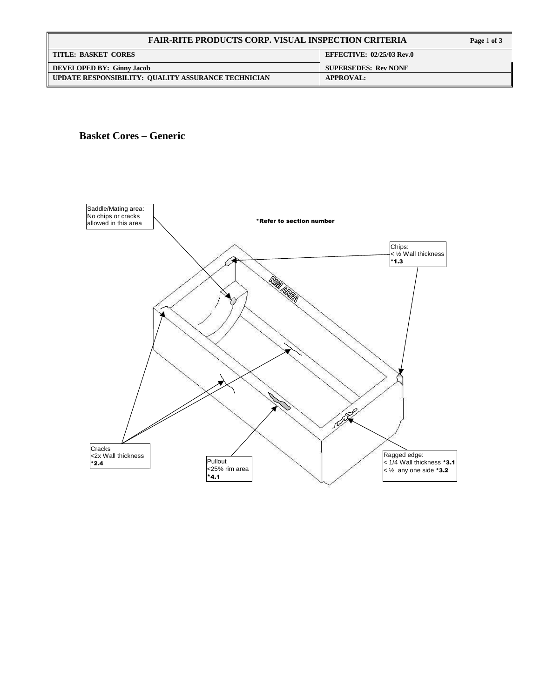| <b>FAIR-RITE PRODUCTS CORP. VISUAL INSPECTION CRITERIA</b> |                                  |
|------------------------------------------------------------|----------------------------------|
| <b>TITLE: BASKET CORES</b>                                 | <b>EFFECTIVE: 02/25/03 Rev.0</b> |
| <b>DEVELOPED BY: Ginny Jacob</b>                           | <b>SUPERSEDES: Rev NONE</b>      |
| UPDATE RESPONSIBILITY: QUALITY ASSURANCE TECHNICIAN        | <b>APPROVAL:</b>                 |



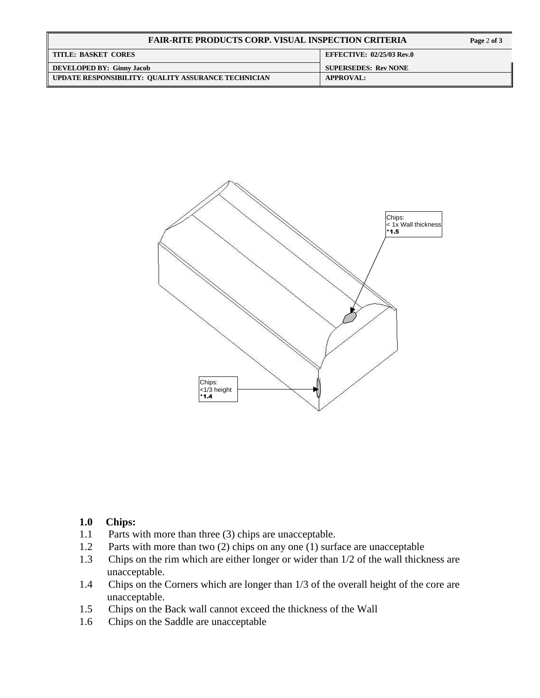| <b>FAIR-RITE PRODUCTS CORP. VISUAL INSPECTION CRITERIA</b> |                                  |
|------------------------------------------------------------|----------------------------------|
| <b>TITLE: BASKET CORES</b>                                 | <b>EFFECTIVE: 02/25/03 Rev.0</b> |
| <b>DEVELOPED BY: Ginny Jacob</b>                           | <b>SUPERSEDES: Rev NONE</b>      |
| UPDATE RESPONSIBILITY: QUALITY ASSURANCE TECHNICIAN        | <b>APPROVAL:</b>                 |



#### **1.0 Chips:**

- 1.1 Parts with more than three (3) chips are unacceptable.
- 1.2 Parts with more than two (2) chips on any one (1) surface are unacceptable
- 1.3 Chips on the rim which are either longer or wider than 1/2 of the wall thickness are unacceptable.
- 1.4 Chips on the Corners which are longer than 1/3 of the overall height of the core are unacceptable.
- 1.5 Chips on the Back wall cannot exceed the thickness of the Wall
- 1.6 Chips on the Saddle are unacceptable